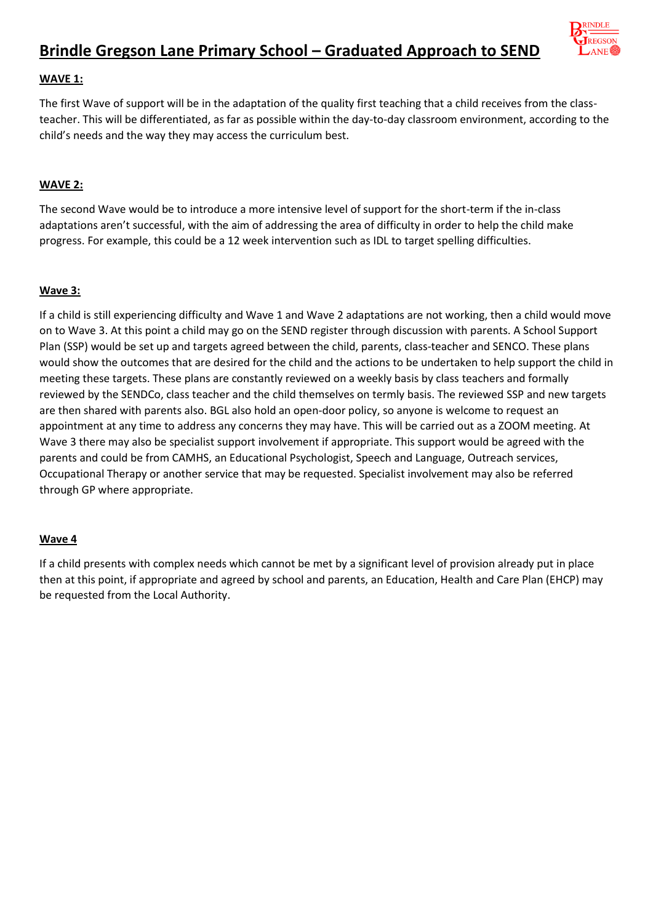

## **WAVE 1:**

The first Wave of support will be in the adaptation of the quality first teaching that a child receives from the classteacher. This will be differentiated, as far as possible within the day-to-day classroom environment, according to the child's needs and the way they may access the curriculum best.

## **WAVE 2:**

The second Wave would be to introduce a more intensive level of support for the short-term if the in-class adaptations aren't successful, with the aim of addressing the area of difficulty in order to help the child make progress. For example, this could be a 12 week intervention such as IDL to target spelling difficulties.

## **Wave 3:**

If a child is still experiencing difficulty and Wave 1 and Wave 2 adaptations are not working, then a child would move on to Wave 3. At this point a child may go on the SEND register through discussion with parents. A School Support Plan (SSP) would be set up and targets agreed between the child, parents, class-teacher and SENCO. These plans would show the outcomes that are desired for the child and the actions to be undertaken to help support the child in meeting these targets. These plans are constantly reviewed on a weekly basis by class teachers and formally reviewed by the SENDCo, class teacher and the child themselves on termly basis. The reviewed SSP and new targets are then shared with parents also. BGL also hold an open-door policy, so anyone is welcome to request an appointment at any time to address any concerns they may have. This will be carried out as a ZOOM meeting. At Wave 3 there may also be specialist support involvement if appropriate. This support would be agreed with the parents and could be from CAMHS, an Educational Psychologist, Speech and Language, Outreach services, Occupational Therapy or another service that may be requested. Specialist involvement may also be referred through GP where appropriate.

## **Wave 4**

If a child presents with complex needs which cannot be met by a significant level of provision already put in place then at this point, if appropriate and agreed by school and parents, an Education, Health and Care Plan (EHCP) may be requested from the Local Authority.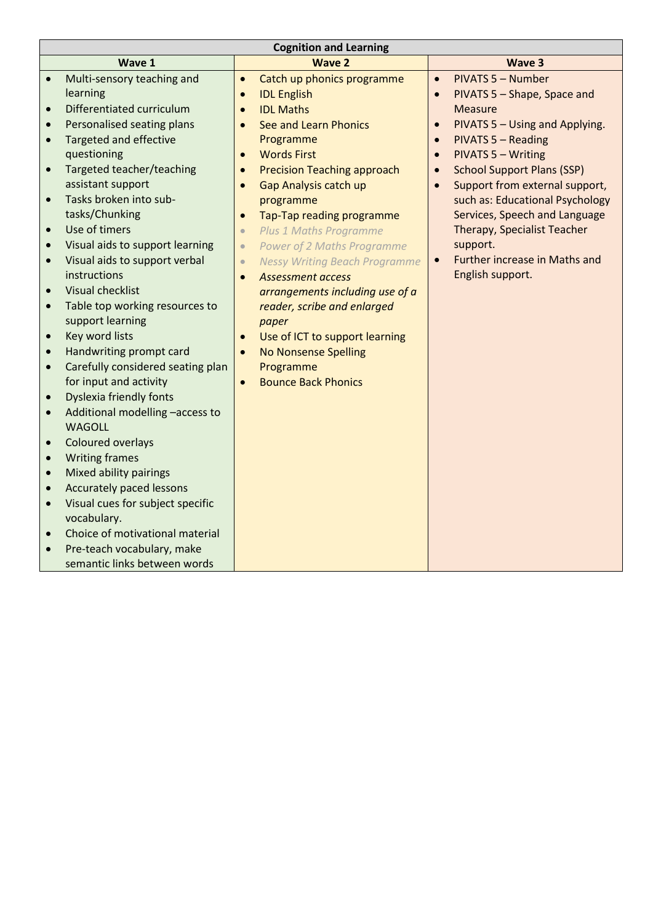| <b>Cognition and Learning</b> |                                   |           |                                      |           |                                   |  |
|-------------------------------|-----------------------------------|-----------|--------------------------------------|-----------|-----------------------------------|--|
|                               | Wave 1                            |           | <b>Wave 2</b>                        |           | Wave 3                            |  |
| $\bullet$                     | Multi-sensory teaching and        | $\bullet$ | Catch up phonics programme           | $\bullet$ | <b>PIVATS 5 - Number</b>          |  |
|                               | learning                          | $\bullet$ | <b>IDL English</b>                   | $\bullet$ | PIVATS 5 - Shape, Space and       |  |
| $\bullet$                     | Differentiated curriculum         | $\bullet$ | <b>IDL Maths</b>                     |           | <b>Measure</b>                    |  |
| $\bullet$                     | Personalised seating plans        | $\bullet$ | See and Learn Phonics                | $\bullet$ | PIVATS 5 - Using and Applying.    |  |
| $\bullet$                     | <b>Targeted and effective</b>     |           | Programme                            | $\bullet$ | <b>PIVATS 5 - Reading</b>         |  |
|                               | questioning                       | $\bullet$ | <b>Words First</b>                   | $\bullet$ | <b>PIVATS 5 - Writing</b>         |  |
| $\bullet$                     | Targeted teacher/teaching         | $\bullet$ | <b>Precision Teaching approach</b>   | $\bullet$ | <b>School Support Plans (SSP)</b> |  |
|                               | assistant support                 | $\bullet$ | <b>Gap Analysis catch up</b>         |           | Support from external support,    |  |
| $\bullet$                     | Tasks broken into sub-            |           | programme                            |           | such as: Educational Psychology   |  |
|                               | tasks/Chunking                    | $\bullet$ | Tap-Tap reading programme            |           | Services, Speech and Language     |  |
| $\bullet$                     | Use of timers                     | $\bullet$ | <b>Plus 1 Maths Programme</b>        |           | Therapy, Specialist Teacher       |  |
| $\bullet$                     | Visual aids to support learning   | $\bullet$ | <b>Power of 2 Maths Programme</b>    |           | support.                          |  |
| $\bullet$                     | Visual aids to support verbal     | $\bullet$ | <b>Nessy Writing Beach Programme</b> | $\bullet$ | Further increase in Maths and     |  |
|                               | instructions                      | $\bullet$ | <b>Assessment access</b>             |           | English support.                  |  |
| $\bullet$                     | <b>Visual checklist</b>           |           | arrangements including use of a      |           |                                   |  |
| $\bullet$                     | Table top working resources to    |           | reader, scribe and enlarged          |           |                                   |  |
|                               | support learning                  |           | paper                                |           |                                   |  |
| $\bullet$                     | Key word lists                    | $\bullet$ | Use of ICT to support learning       |           |                                   |  |
| $\bullet$                     | Handwriting prompt card           | $\bullet$ | <b>No Nonsense Spelling</b>          |           |                                   |  |
| $\bullet$                     | Carefully considered seating plan |           | Programme                            |           |                                   |  |
|                               | for input and activity            | $\bullet$ | <b>Bounce Back Phonics</b>           |           |                                   |  |
| $\bullet$                     | <b>Dyslexia friendly fonts</b>    |           |                                      |           |                                   |  |
| $\bullet$                     | Additional modelling -access to   |           |                                      |           |                                   |  |
|                               | <b>WAGOLL</b>                     |           |                                      |           |                                   |  |
| $\bullet$                     | <b>Coloured overlays</b>          |           |                                      |           |                                   |  |
| $\bullet$                     | <b>Writing frames</b>             |           |                                      |           |                                   |  |
| $\bullet$                     | Mixed ability pairings            |           |                                      |           |                                   |  |
| $\bullet$                     | <b>Accurately paced lessons</b>   |           |                                      |           |                                   |  |
| $\bullet$                     | Visual cues for subject specific  |           |                                      |           |                                   |  |
|                               | vocabulary.                       |           |                                      |           |                                   |  |
| $\bullet$                     | Choice of motivational material   |           |                                      |           |                                   |  |
| $\bullet$                     | Pre-teach vocabulary, make        |           |                                      |           |                                   |  |
|                               | semantic links between words      |           |                                      |           |                                   |  |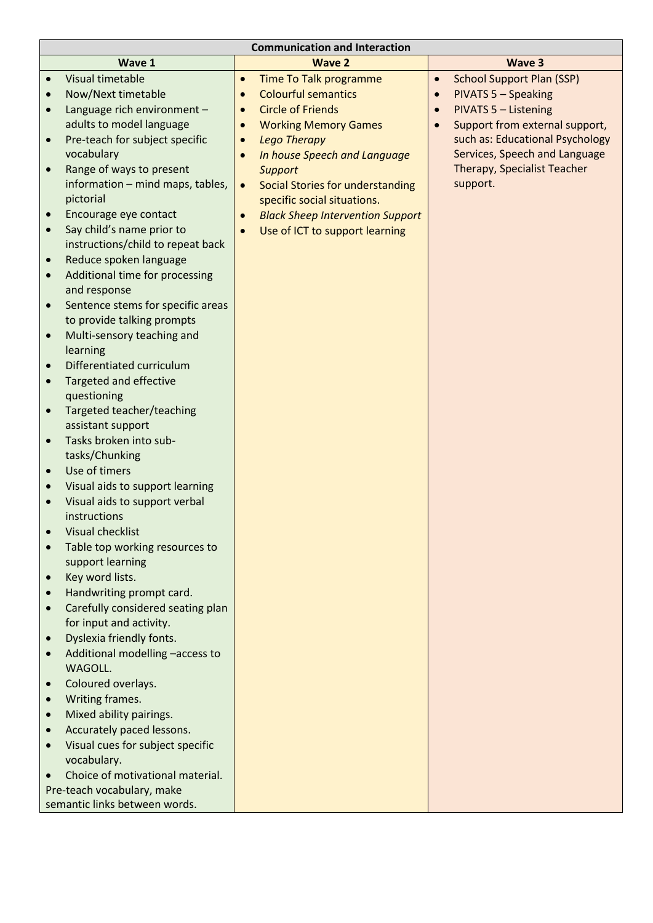| <b>Communication and Interaction</b> |                                                              |           |                                         |           |                                    |  |
|--------------------------------------|--------------------------------------------------------------|-----------|-----------------------------------------|-----------|------------------------------------|--|
|                                      | Wave 1                                                       |           | <b>Wave 2</b>                           |           | <b>Wave 3</b>                      |  |
|                                      | <b>Visual timetable</b>                                      | $\bullet$ | <b>Time To Talk programme</b>           | $\bullet$ | <b>School Support Plan (SSP)</b>   |  |
| $\bullet$                            | Now/Next timetable                                           | $\bullet$ | <b>Colourful semantics</b>              | $\bullet$ | <b>PIVATS 5 - Speaking</b>         |  |
| $\bullet$                            | Language rich environment -                                  | $\bullet$ | <b>Circle of Friends</b>                | $\bullet$ | <b>PIVATS 5 - Listening</b>        |  |
|                                      | adults to model language                                     | $\bullet$ | <b>Working Memory Games</b>             |           | Support from external support,     |  |
|                                      | Pre-teach for subject specific                               | $\bullet$ | <b>Lego Therapy</b>                     |           | such as: Educational Psychology    |  |
|                                      | vocabulary                                                   |           | In house Speech and Language            |           | Services, Speech and Language      |  |
| $\bullet$                            | Range of ways to present                                     |           | <b>Support</b>                          |           | <b>Therapy, Specialist Teacher</b> |  |
|                                      | information - mind maps, tables,                             | $\bullet$ | Social Stories for understanding        |           | support.                           |  |
|                                      | pictorial                                                    |           | specific social situations.             |           |                                    |  |
| $\bullet$                            | Encourage eye contact                                        |           | <b>Black Sheep Intervention Support</b> |           |                                    |  |
| $\bullet$                            | Say child's name prior to                                    | $\bullet$ | Use of ICT to support learning          |           |                                    |  |
|                                      | instructions/child to repeat back                            |           |                                         |           |                                    |  |
| $\bullet$                            | Reduce spoken language                                       |           |                                         |           |                                    |  |
| $\bullet$                            | Additional time for processing                               |           |                                         |           |                                    |  |
|                                      | and response                                                 |           |                                         |           |                                    |  |
| $\bullet$                            | Sentence stems for specific areas                            |           |                                         |           |                                    |  |
|                                      | to provide talking prompts                                   |           |                                         |           |                                    |  |
| $\bullet$                            | Multi-sensory teaching and                                   |           |                                         |           |                                    |  |
|                                      | learning                                                     |           |                                         |           |                                    |  |
|                                      | Differentiated curriculum                                    |           |                                         |           |                                    |  |
| $\bullet$                            | <b>Targeted and effective</b>                                |           |                                         |           |                                    |  |
|                                      | questioning                                                  |           |                                         |           |                                    |  |
|                                      | Targeted teacher/teaching                                    |           |                                         |           |                                    |  |
|                                      | assistant support                                            |           |                                         |           |                                    |  |
|                                      | Tasks broken into sub-                                       |           |                                         |           |                                    |  |
|                                      | tasks/Chunking                                               |           |                                         |           |                                    |  |
| $\bullet$                            | Use of timers                                                |           |                                         |           |                                    |  |
|                                      | Visual aids to support learning                              |           |                                         |           |                                    |  |
| $\bullet$                            | Visual aids to support verbal                                |           |                                         |           |                                    |  |
|                                      | instructions                                                 |           |                                         |           |                                    |  |
|                                      | Visual checklist                                             |           |                                         |           |                                    |  |
|                                      | Table top working resources to                               |           |                                         |           |                                    |  |
|                                      | support learning                                             |           |                                         |           |                                    |  |
| $\bullet$                            | Key word lists.                                              |           |                                         |           |                                    |  |
|                                      | Handwriting prompt card.                                     |           |                                         |           |                                    |  |
| $\bullet$                            | Carefully considered seating plan<br>for input and activity. |           |                                         |           |                                    |  |
|                                      | Dyslexia friendly fonts.                                     |           |                                         |           |                                    |  |
|                                      | Additional modelling -access to                              |           |                                         |           |                                    |  |
| $\bullet$                            | WAGOLL.                                                      |           |                                         |           |                                    |  |
|                                      | Coloured overlays.                                           |           |                                         |           |                                    |  |
| $\bullet$                            | Writing frames.                                              |           |                                         |           |                                    |  |
|                                      | Mixed ability pairings.                                      |           |                                         |           |                                    |  |
|                                      | Accurately paced lessons.                                    |           |                                         |           |                                    |  |
|                                      | Visual cues for subject specific                             |           |                                         |           |                                    |  |
|                                      | vocabulary.                                                  |           |                                         |           |                                    |  |
|                                      | Choice of motivational material.                             |           |                                         |           |                                    |  |
|                                      | Pre-teach vocabulary, make                                   |           |                                         |           |                                    |  |
|                                      | semantic links between words.                                |           |                                         |           |                                    |  |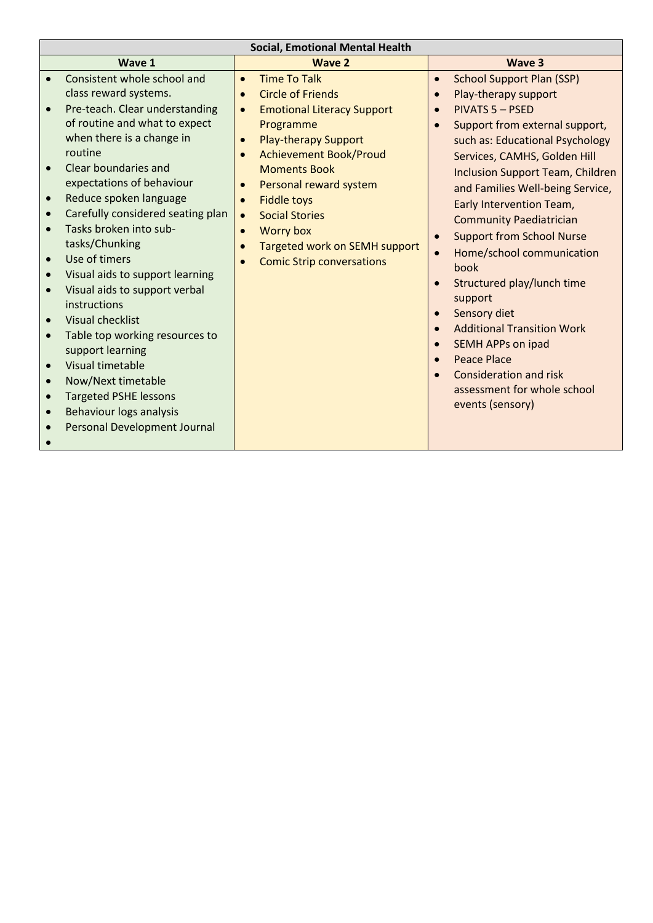| <b>Social, Emotional Mental Health</b> |                                     |           |                                   |           |                                         |  |
|----------------------------------------|-------------------------------------|-----------|-----------------------------------|-----------|-----------------------------------------|--|
|                                        | Wave 1                              |           | <b>Wave 2</b>                     |           | Wave 3                                  |  |
| $\bullet$                              | Consistent whole school and         | $\bullet$ | <b>Time To Talk</b>               | $\bullet$ | <b>School Support Plan (SSP)</b>        |  |
|                                        | class reward systems.               | $\bullet$ | <b>Circle of Friends</b>          | $\bullet$ | Play-therapy support                    |  |
| $\bullet$                              | Pre-teach. Clear understanding      | $\bullet$ | <b>Emotional Literacy Support</b> | $\bullet$ | <b>PIVATS 5 - PSED</b>                  |  |
|                                        | of routine and what to expect       |           | Programme                         | $\bullet$ | Support from external support,          |  |
|                                        | when there is a change in           | $\bullet$ | <b>Play-therapy Support</b>       |           | such as: Educational Psychology         |  |
|                                        | routine                             | $\bullet$ | <b>Achievement Book/Proud</b>     |           | Services, CAMHS, Golden Hill            |  |
|                                        | Clear boundaries and                |           | <b>Moments Book</b>               |           | <b>Inclusion Support Team, Children</b> |  |
|                                        | expectations of behaviour           | $\bullet$ | Personal reward system            |           | and Families Well-being Service,        |  |
|                                        | Reduce spoken language              | $\bullet$ | <b>Fiddle toys</b>                |           | Early Intervention Team,                |  |
| $\bullet$                              | Carefully considered seating plan   | $\bullet$ | <b>Social Stories</b>             |           | <b>Community Paediatrician</b>          |  |
|                                        | Tasks broken into sub-              | $\bullet$ | <b>Worry box</b>                  | $\bullet$ | <b>Support from School Nurse</b>        |  |
|                                        | tasks/Chunking                      | $\bullet$ | Targeted work on SEMH support     | $\bullet$ | Home/school communication               |  |
| $\bullet$                              | Use of timers                       |           | <b>Comic Strip conversations</b>  |           | book                                    |  |
| $\bullet$                              | Visual aids to support learning     |           |                                   | $\bullet$ | Structured play/lunch time              |  |
| $\bullet$                              | Visual aids to support verbal       |           |                                   |           | support                                 |  |
|                                        | instructions                        |           |                                   | $\bullet$ | Sensory diet                            |  |
|                                        | <b>Visual checklist</b>             |           |                                   | $\bullet$ | <b>Additional Transition Work</b>       |  |
| $\bullet$                              | Table top working resources to      |           |                                   |           | <b>SEMH APPs on ipad</b>                |  |
|                                        | support learning                    |           |                                   | $\bullet$ | <b>Peace Place</b>                      |  |
| $\bullet$                              | Visual timetable                    |           |                                   |           | Consideration and risk                  |  |
| $\bullet$                              | Now/Next timetable                  |           |                                   |           | assessment for whole school             |  |
|                                        | <b>Targeted PSHE lessons</b>        |           |                                   |           | events (sensory)                        |  |
| $\bullet$                              | <b>Behaviour logs analysis</b>      |           |                                   |           |                                         |  |
|                                        | <b>Personal Development Journal</b> |           |                                   |           |                                         |  |
|                                        |                                     |           |                                   |           |                                         |  |